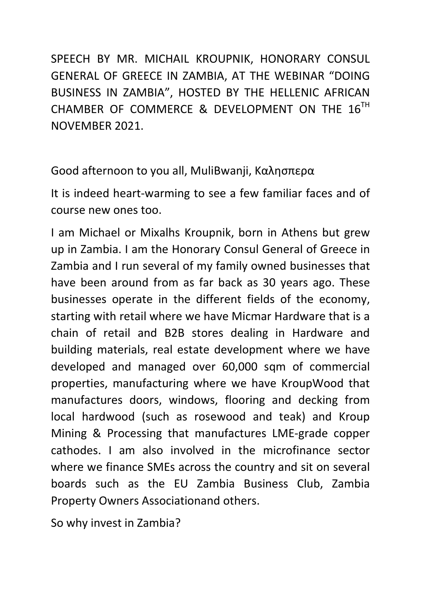SPEECH BY MR. MICHAIL KROUPNIK, HONORARY CONSUL GENERAL OF GREECE IN ZAMBIA, AT THE WEBINAR "DOING BUSINESS IN ZAMBIA", HOSTED BY THE HELLENIC AFRICAN CHAMBER OF COMMERCE & DEVELOPMENT ON THE 16TH NOVEMBER 2021.

Good afternoon to you all, MuliBwanji, Καλησπερα

It is indeed heart-warming to see a few familiar faces and of course new ones too.

I am Michael or Mixalhs Kroupnik, born in Athens but grew up in Zambia. I am the Honorary Consul General of Greece in Zambia and I run several of my family owned businesses that have been around from as far back as 30 years ago. These businesses operate in the different fields of the economy, starting with retail where we have Micmar Hardware that is a chain of retail and B2B stores dealing in Hardware and building materials, real estate development where we have developed and managed over 60,000 sqm of commercial properties, manufacturing where we have KroupWood that manufactures doors, windows, flooring and decking from local hardwood (such as rosewood and teak) and Kroup Mining & Processing that manufactures LME-grade copper cathodes. I am also involved in the microfinance sector where we finance SMEs across the country and sit on several boards such as the EU Zambia Business Club, Zambia Property Owners Associationand others.

So why invest in Zambia?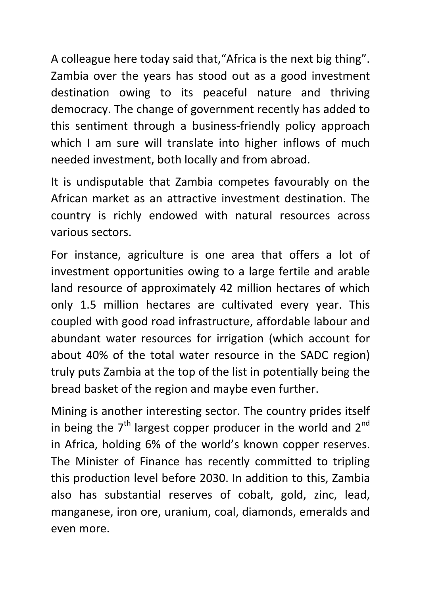A colleague here today said that,"Africa is the next big thing". Zambia over the years has stood out as a good investment destination owing to its peaceful nature and thriving democracy. The change of government recently has added to this sentiment through a business-friendly policy approach which I am sure will translate into higher inflows of much needed investment, both locally and from abroad.

It is undisputable that Zambia competes favourably on the African market as an attractive investment destination. The country is richly endowed with natural resources across various sectors.

For instance, agriculture is one area that offers a lot of investment opportunities owing to a large fertile and arable land resource of approximately 42 million hectares of which only 1.5 million hectares are cultivated every year. This coupled with good road infrastructure, affordable labour and abundant water resources for irrigation (which account for about 40% of the total water resource in the SADC region) truly puts Zambia at the top of the list in potentially being the bread basket of the region and maybe even further.

Mining is another interesting sector. The country prides itself in being the  $7<sup>th</sup>$  largest copper producer in the world and  $2<sup>nd</sup>$ in Africa, holding 6% of the world's known copper reserves. The Minister of Finance has recently committed to tripling this production level before 2030. In addition to this, Zambia also has substantial reserves of cobalt, gold, zinc, lead, manganese, iron ore, uranium, coal, diamonds, emeralds and even more.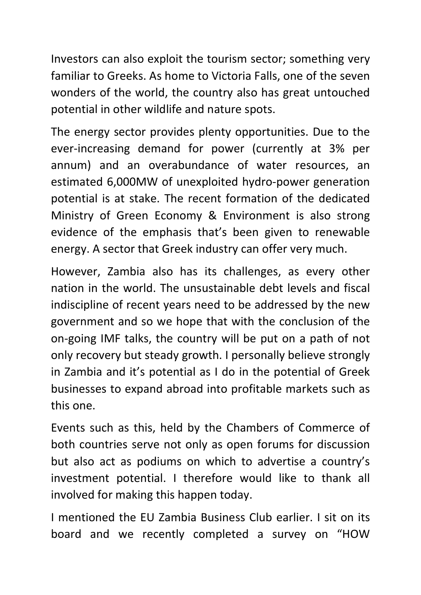Investors can also exploit the tourism sector; something very familiar to Greeks. As home to Victoria Falls, one of the seven wonders of the world, the country also has great untouched potential in other wildlife and nature spots.

The energy sector provides plenty opportunities. Due to the ever-increasing demand for power (currently at 3% per annum) and an overabundance of water resources, an estimated 6,000MW of unexploited hydro-power generation potential is at stake. The recent formation of the dedicated Ministry of Green Economy & Environment is also strong evidence of the emphasis that's been given to renewable energy. A sector that Greek industry can offer very much.

However, Zambia also has its challenges, as every other nation in the world. The unsustainable debt levels and fiscal indiscipline of recent years need to be addressed by the new government and so we hope that with the conclusion of the on-going IMF talks, the country will be put on a path of not only recovery but steady growth. I personally believe strongly in Zambia and it's potential as I do in the potential of Greek businesses to expand abroad into profitable markets such as this one.

Events such as this, held by the Chambers of Commerce of both countries serve not only as open forums for discussion but also act as podiums on which to advertise a country's investment potential. I therefore would like to thank all involved for making this happen today.

I mentioned the EU Zambia Business Club earlier. I sit on its board and we recently completed a survey on "HOW